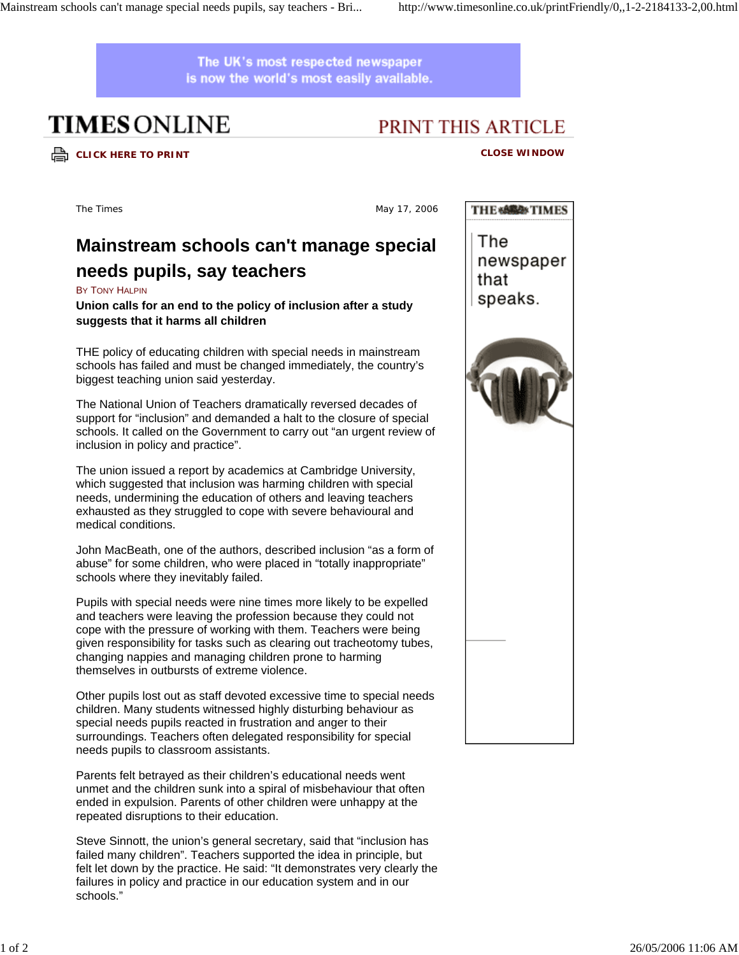The UK's most respected newspaper is now the world's most easily available.

# **TIMES ONLINE**

## PRINT THIS ARTICLE

## **CLICK HERE TO PRINT CLOSE WINDOW**

The Times and the Times May 17, 2006

## **Mainstream schools can't manage special needs pupils, say teachers**

### BY TONY HALPIN

### **Union calls for an end to the policy of inclusion after a study suggests that it harms all children**

THE policy of educating children with special needs in mainstream schools has failed and must be changed immediately, the country's biggest teaching union said yesterday.

The National Union of Teachers dramatically reversed decades of support for "inclusion" and demanded a halt to the closure of special schools. It called on the Government to carry out "an urgent review of inclusion in policy and practice".

The union issued a report by academics at Cambridge University, which suggested that inclusion was harming children with special needs, undermining the education of others and leaving teachers exhausted as they struggled to cope with severe behavioural and medical conditions.

John MacBeath, one of the authors, described inclusion "as a form of abuse" for some children, who were placed in "totally inappropriate" schools where they inevitably failed.

Pupils with special needs were nine times more likely to be expelled and teachers were leaving the profession because they could not cope with the pressure of working with them. Teachers were being given responsibility for tasks such as clearing out tracheotomy tubes, changing nappies and managing children prone to harming themselves in outbursts of extreme violence.

Other pupils lost out as staff devoted excessive time to special needs children. Many students witnessed highly disturbing behaviour as special needs pupils reacted in frustration and anger to their surroundings. Teachers often delegated responsibility for special needs pupils to classroom assistants.

Parents felt betrayed as their children's educational needs went unmet and the children sunk into a spiral of misbehaviour that often ended in expulsion. Parents of other children were unhappy at the repeated disruptions to their education.

Steve Sinnott, the union's general secretary, said that "inclusion has failed many children". Teachers supported the idea in principle, but felt let down by the practice. He said: "It demonstrates very clearly the failures in policy and practice in our education system and in our schools."